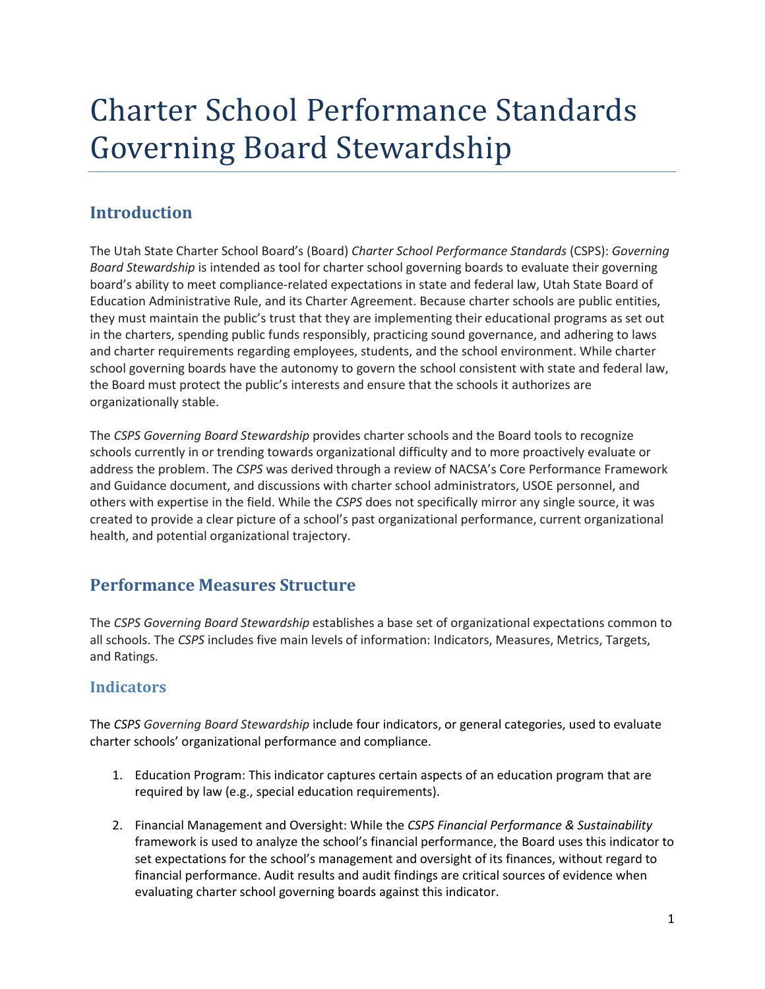# Charter School Performance Standards Governing Board Stewardship

# **Introduction**

The Utah State Charter School Board's (Board) *Charter School Performance Standards* (CSPS): *Governing Board Stewardship* is intended as tool for charter school governing boards to evaluate their governing board's ability to meet compliance-related expectations in state and federal law, Utah State Board of Education Administrative Rule, and its Charter Agreement. Because charter schools are public entities, they must maintain the public's trust that they are implementing their educational programs as set out in the charters, spending public funds responsibly, practicing sound governance, and adhering to laws and charter requirements regarding employees, students, and the school environment. While charter school governing boards have the autonomy to govern the school consistent with state and federal law, the Board must protect the public's interests and ensure that the schools it authorizes are organizationally stable.

The *CSPS Governing Board Stewardship* provides charter schools and the Board tools to recognize schools currently in or trending towards organizational difficulty and to more proactively evaluate or address the problem. The *CSPS* was derived through a review of NACSA's Core Performance Framework and Guidance document, and discussions with charter school administrators, USOE personnel, and others with expertise in the field. While the *CSPS* does not specifically mirror any single source, it was created to provide a clear picture of a school's past organizational performance, current organizational health, and potential organizational trajectory.

# **Performance Measures Structure**

The *CSPS Governing Board Stewardship* establishes a base set of organizational expectations common to all schools. The *CSPS* includes five main levels of information: Indicators, Measures, Metrics, Targets, and Ratings.

# **Indicators**

The *CSPS Governing Board Stewardship* include four indicators, or general categories, used to evaluate charter schools' organizational performance and compliance.

- 1. Education Program: This indicator captures certain aspects of an education program that are required by law (e.g., special education requirements).
- 2. Financial Management and Oversight: While the *CSPS Financial Performance & Sustainability* framework is used to analyze the school's financial performance, the Board uses this indicator to set expectations for the school's management and oversight of its finances, without regard to financial performance. Audit results and audit findings are critical sources of evidence when evaluating charter school governing boards against this indicator.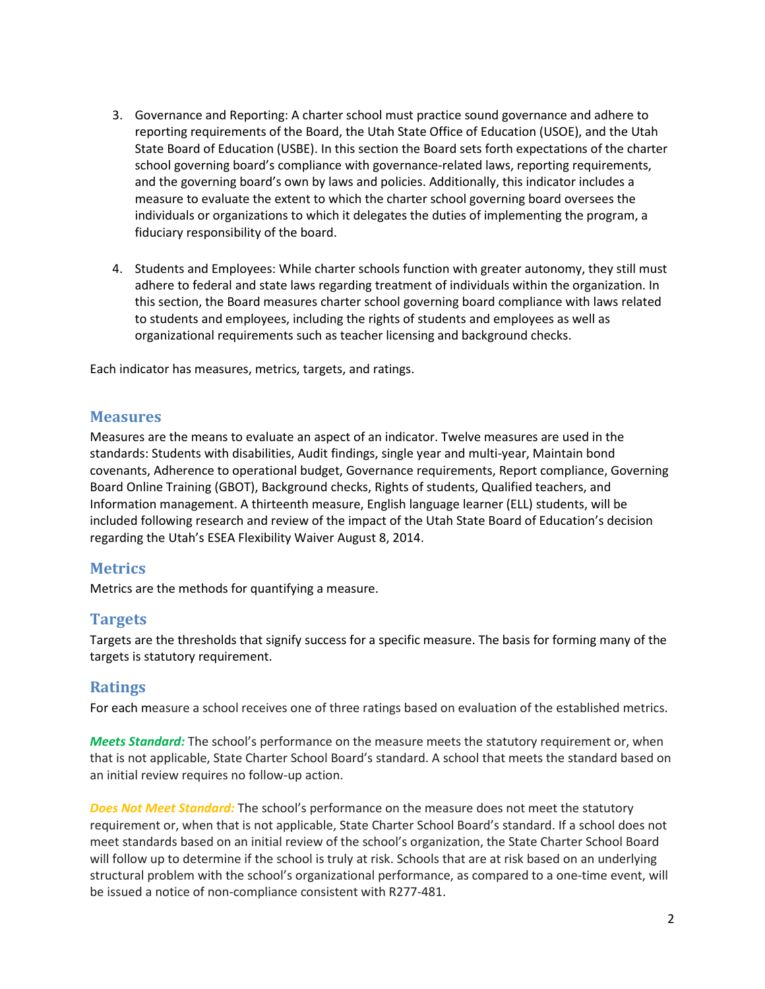- 3. Governance and Reporting: A charter school must practice sound governance and adhere to reporting requirements of the Board, the Utah State Office of Education (USOE), and the Utah State Board of Education (USBE). In this section the Board sets forth expectations of the charter school governing board's compliance with governance-related laws, reporting requirements, and the governing board's own by laws and policies. Additionally, this indicator includes a measure to evaluate the extent to which the charter school governing board oversees the individuals or organizations to which it delegates the duties of implementing the program, a fiduciary responsibility of the board.
- 4. Students and Employees: While charter schools function with greater autonomy, they still must adhere to federal and state laws regarding treatment of individuals within the organization. In this section, the Board measures charter school governing board compliance with laws related to students and employees, including the rights of students and employees as well as organizational requirements such as teacher licensing and background checks.

Each indicator has measures, metrics, targets, and ratings.

#### **Measures**

Measures are the means to evaluate an aspect of an indicator. Twelve measures are used in the standards: Students with disabilities, Audit findings, single year and multi-year, Maintain bond covenants, Adherence to operational budget, Governance requirements, Report compliance, Governing Board Online Training (GBOT), Background checks, Rights of students, Qualified teachers, and Information management. A thirteenth measure, English language learner (ELL) students, will be included following research and review of the impact of the Utah State Board of Education's decision regarding the Utah's ESEA Flexibility Waiver August 8, 2014.

#### **Metrics**

Metrics are the methods for quantifying a measure.

#### **Targets**

Targets are the thresholds that signify success for a specific measure. The basis for forming many of the targets is statutory requirement.

#### **Ratings**

For each measure a school receives one of three ratings based on evaluation of the established metrics.

*Meets Standard:* The school's performance on the measure meets the statutory requirement or, when that is not applicable, State Charter School Board's standard. A school that meets the standard based on an initial review requires no follow-up action.

*Does Not Meet Standard:* The school's performance on the measure does not meet the statutory requirement or, when that is not applicable, State Charter School Board's standard. If a school does not meet standards based on an initial review of the school's organization, the State Charter School Board will follow up to determine if the school is truly at risk. Schools that are at risk based on an underlying structural problem with the school's organizational performance, as compared to a one-time event, will be issued a notice of non-compliance consistent with R277-481.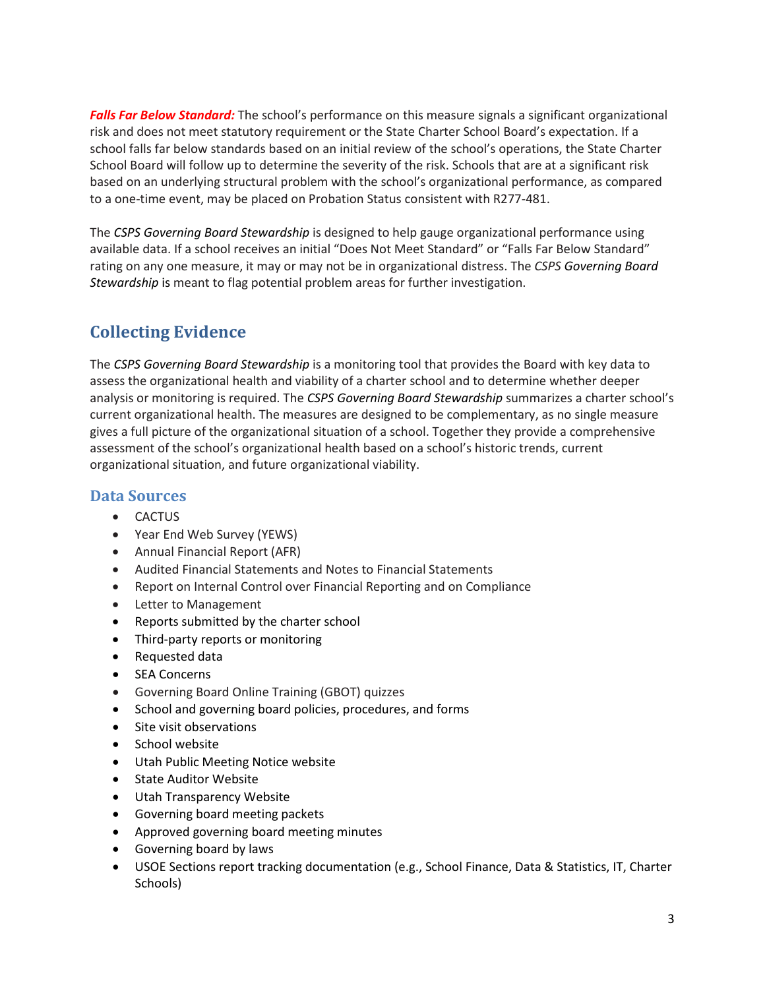*Falls Far Below Standard:* The school's performance on this measure signals a significant organizational risk and does not meet statutory requirement or the State Charter School Board's expectation. If a school falls far below standards based on an initial review of the school's operations, the State Charter School Board will follow up to determine the severity of the risk. Schools that are at a significant risk based on an underlying structural problem with the school's organizational performance, as compared to a one-time event, may be placed on Probation Status consistent with R277-481.

The *CSPS Governing Board Stewardship* is designed to help gauge organizational performance using available data. If a school receives an initial "Does Not Meet Standard" or "Falls Far Below Standard" rating on any one measure, it may or may not be in organizational distress. The *CSPS Governing Board Stewardship* is meant to flag potential problem areas for further investigation.

# **Collecting Evidence**

The *CSPS Governing Board Stewardship* is a monitoring tool that provides the Board with key data to assess the organizational health and viability of a charter school and to determine whether deeper analysis or monitoring is required. The *CSPS Governing Board Stewardship* summarizes a charter school's current organizational health. The measures are designed to be complementary, as no single measure gives a full picture of the organizational situation of a school. Together they provide a comprehensive assessment of the school's organizational health based on a school's historic trends, current organizational situation, and future organizational viability.

# **Data Sources**

- CACTUS
- Year End Web Survey (YEWS)
- Annual Financial Report (AFR)
- Audited Financial Statements and Notes to Financial Statements
- Report on Internal Control over Financial Reporting and on Compliance
- Letter to Management
- Reports submitted by the charter school
- Third-party reports or monitoring
- Requested data
- SEA Concerns
- Governing Board Online Training (GBOT) quizzes
- School and governing board policies, procedures, and forms
- Site visit observations
- School website
- Utah Public Meeting Notice website
- State Auditor Website
- Utah Transparency Website
- Governing board meeting packets
- Approved governing board meeting minutes
- Governing board by laws
- USOE Sections report tracking documentation (e.g., School Finance, Data & Statistics, IT, Charter Schools)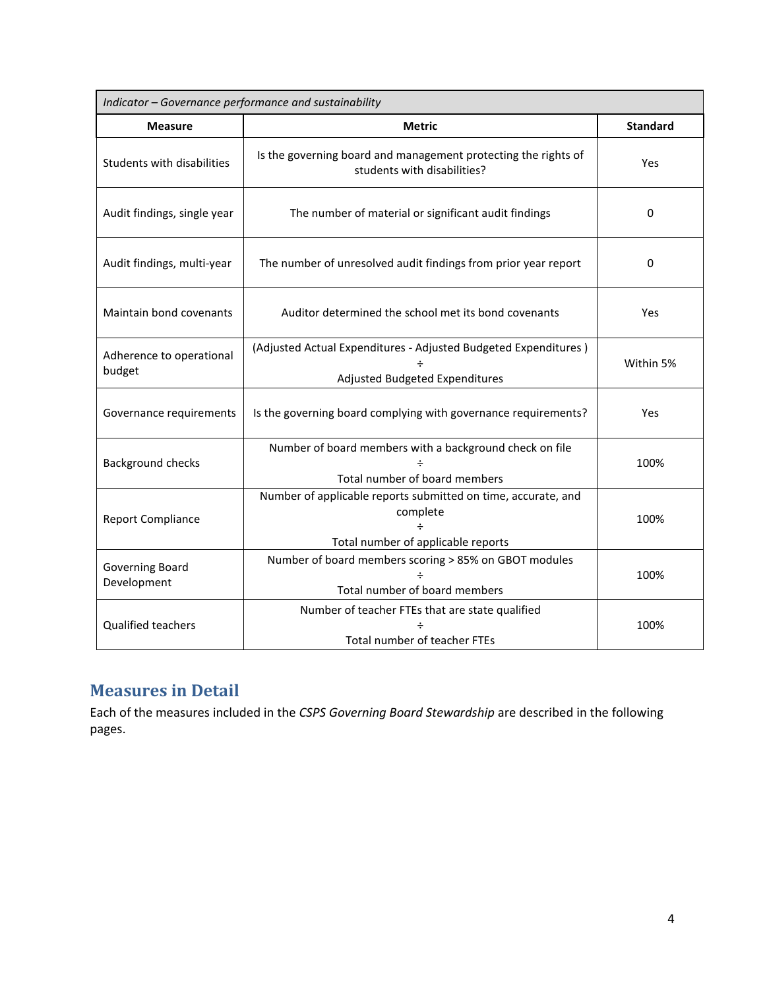| Indicator - Governance performance and sustainability |                                                                                                                 |                 |
|-------------------------------------------------------|-----------------------------------------------------------------------------------------------------------------|-----------------|
| <b>Measure</b>                                        | <b>Metric</b>                                                                                                   | <b>Standard</b> |
| Students with disabilities                            | Is the governing board and management protecting the rights of<br>students with disabilities?                   | Yes             |
| Audit findings, single year                           | The number of material or significant audit findings                                                            | 0               |
| Audit findings, multi-year                            | The number of unresolved audit findings from prior year report                                                  | 0               |
| Maintain bond covenants                               | Auditor determined the school met its bond covenants                                                            | Yes             |
| Adherence to operational<br>budget                    | (Adjusted Actual Expenditures - Adjusted Budgeted Expenditures)<br>Adjusted Budgeted Expenditures               | Within 5%       |
| Governance requirements                               | Is the governing board complying with governance requirements?                                                  | Yes             |
| <b>Background checks</b>                              | Number of board members with a background check on file<br>Total number of board members                        | 100%            |
| <b>Report Compliance</b>                              | Number of applicable reports submitted on time, accurate, and<br>complete<br>Total number of applicable reports | 100%            |
| <b>Governing Board</b><br>Development                 | Number of board members scoring > 85% on GBOT modules<br>Total number of board members                          | 100%            |
| <b>Qualified teachers</b>                             | Number of teacher FTEs that are state qualified<br>Total number of teacher FTEs                                 | 100%            |

# **Measures in Detail**

Each of the measures included in the *CSPS Governing Board Stewardship* are described in the following pages.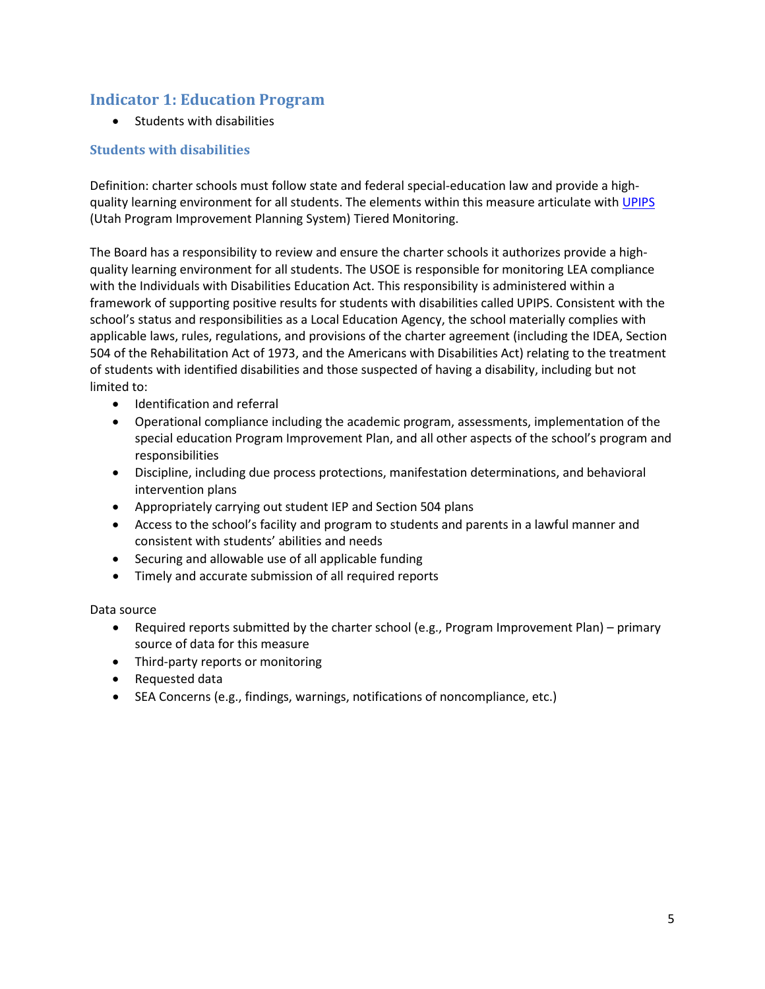# **Indicator 1: Education Program**

• Students with disabilities

#### **Students with disabilities**

Definition: charter schools must follow state and federal special-education law and provide a highquality learning environment for all students. The elements within this measure articulate with [UPIPS](http://www.schools.utah.gov/sars/Laws,-State-Rules-and-Policies/Compliance.aspx) (Utah Program Improvement Planning System) Tiered Monitoring.

The Board has a responsibility to review and ensure the charter schools it authorizes provide a highquality learning environment for all students. The USOE is responsible for monitoring LEA compliance with the Individuals with Disabilities Education Act. This responsibility is administered within a framework of supporting positive results for students with disabilities called UPIPS. Consistent with the school's status and responsibilities as a Local Education Agency, the school materially complies with applicable laws, rules, regulations, and provisions of the charter agreement (including the IDEA, Section 504 of the Rehabilitation Act of 1973, and the Americans with Disabilities Act) relating to the treatment of students with identified disabilities and those suspected of having a disability, including but not limited to:

- Identification and referral
- Operational compliance including the academic program, assessments, implementation of the special education Program Improvement Plan, and all other aspects of the school's program and responsibilities
- Discipline, including due process protections, manifestation determinations, and behavioral intervention plans
- Appropriately carrying out student IEP and Section 504 plans
- Access to the school's facility and program to students and parents in a lawful manner and consistent with students' abilities and needs
- Securing and allowable use of all applicable funding
- Timely and accurate submission of all required reports

- Required reports submitted by the charter school (e.g., Program Improvement Plan) primary source of data for this measure
- Third-party reports or monitoring
- Requested data
- SEA Concerns (e.g., findings, warnings, notifications of noncompliance, etc.)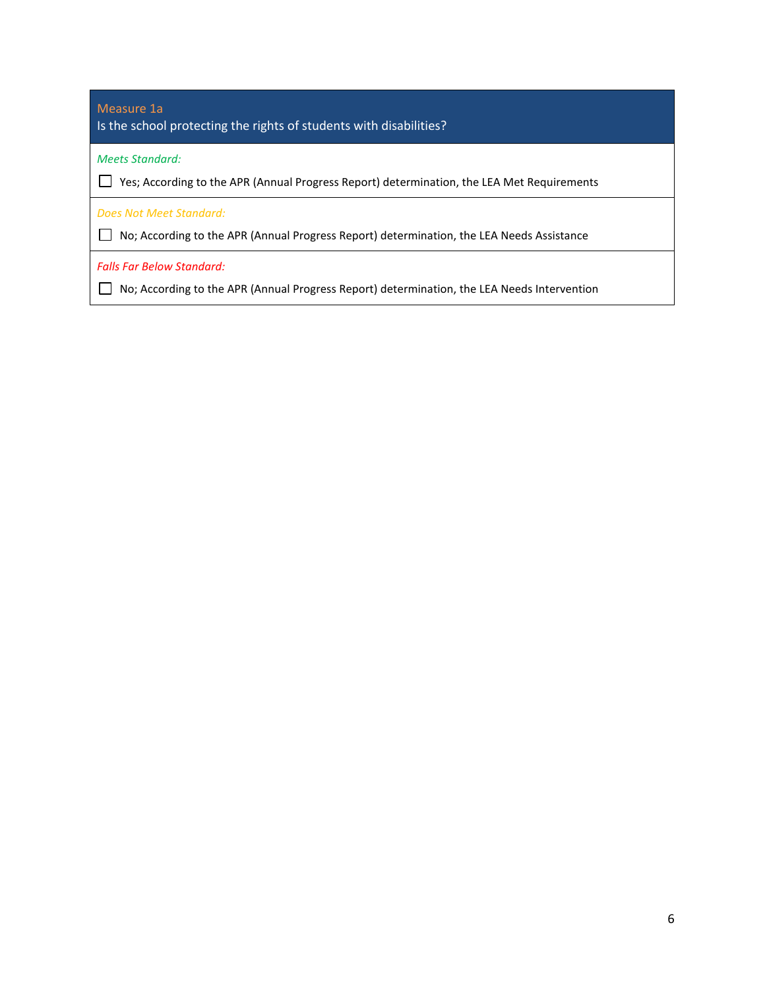| Measure 1a<br>Is the school protecting the rights of students with disabilities?                                     |
|----------------------------------------------------------------------------------------------------------------------|
| Meets Standard:<br>Yes; According to the APR (Annual Progress Report) determination, the LEA Met Requirements        |
| Does Not Meet Standard:<br>No; According to the APR (Annual Progress Report) determination, the LEA Needs Assistance |
| <b>Falls Far Below Standard:</b>                                                                                     |

No; According to the APR (Annual Progress Report) determination, the LEA Needs Intervention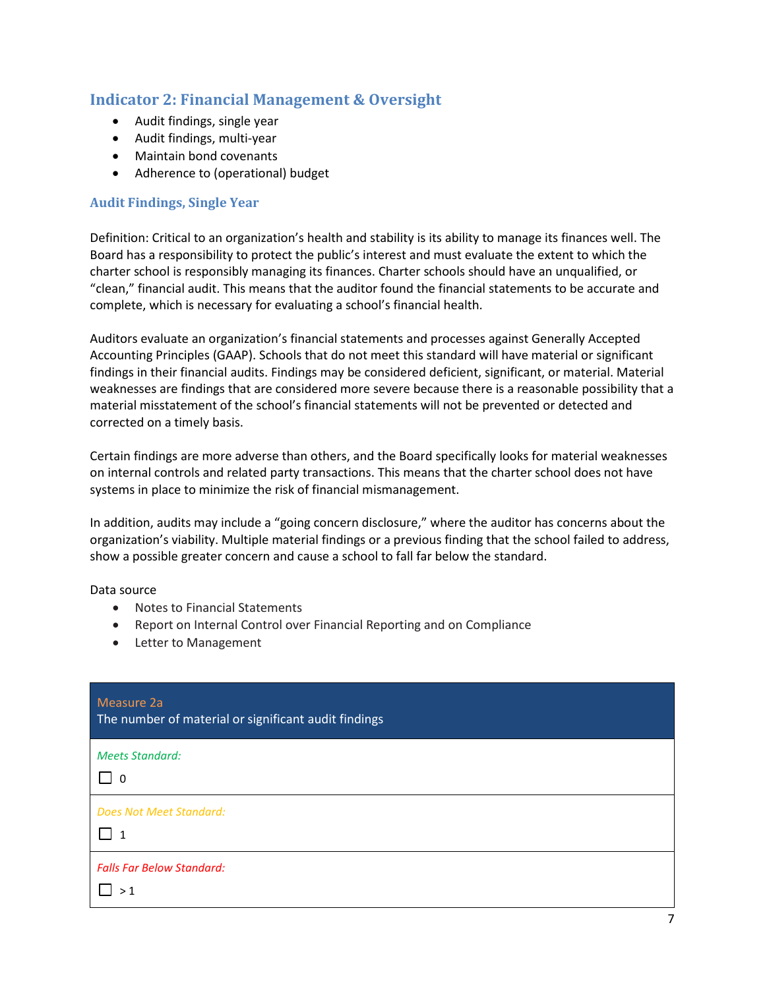# **Indicator 2: Financial Management & Oversight**

- Audit findings, single year
- Audit findings, multi-year
- Maintain bond covenants
- Adherence to (operational) budget

#### **Audit Findings, Single Year**

Definition: Critical to an organization's health and stability is its ability to manage its finances well. The Board has a responsibility to protect the public's interest and must evaluate the extent to which the charter school is responsibly managing its finances. Charter schools should have an unqualified, or "clean," financial audit. This means that the auditor found the financial statements to be accurate and complete, which is necessary for evaluating a school's financial health.

Auditors evaluate an organization's financial statements and processes against Generally Accepted Accounting Principles (GAAP). Schools that do not meet this standard will have material or significant findings in their financial audits. Findings may be considered deficient, significant, or material. Material weaknesses are findings that are considered more severe because there is a reasonable possibility that a material misstatement of the school's financial statements will not be prevented or detected and corrected on a timely basis.

Certain findings are more adverse than others, and the Board specifically looks for material weaknesses on internal controls and related party transactions. This means that the charter school does not have systems in place to minimize the risk of financial mismanagement.

In addition, audits may include a "going concern disclosure," where the auditor has concerns about the organization's viability. Multiple material findings or a previous finding that the school failed to address, show a possible greater concern and cause a school to fall far below the standard.

- Notes to Financial Statements
- Report on Internal Control over Financial Reporting and on Compliance
- Letter to Management

| Measure 2a<br>The number of material or significant audit findings |
|--------------------------------------------------------------------|
| <b>Meets Standard:</b><br>0                                        |
| Does Not Meet Standard:<br>1                                       |
| <b>Falls Far Below Standard:</b><br>>1                             |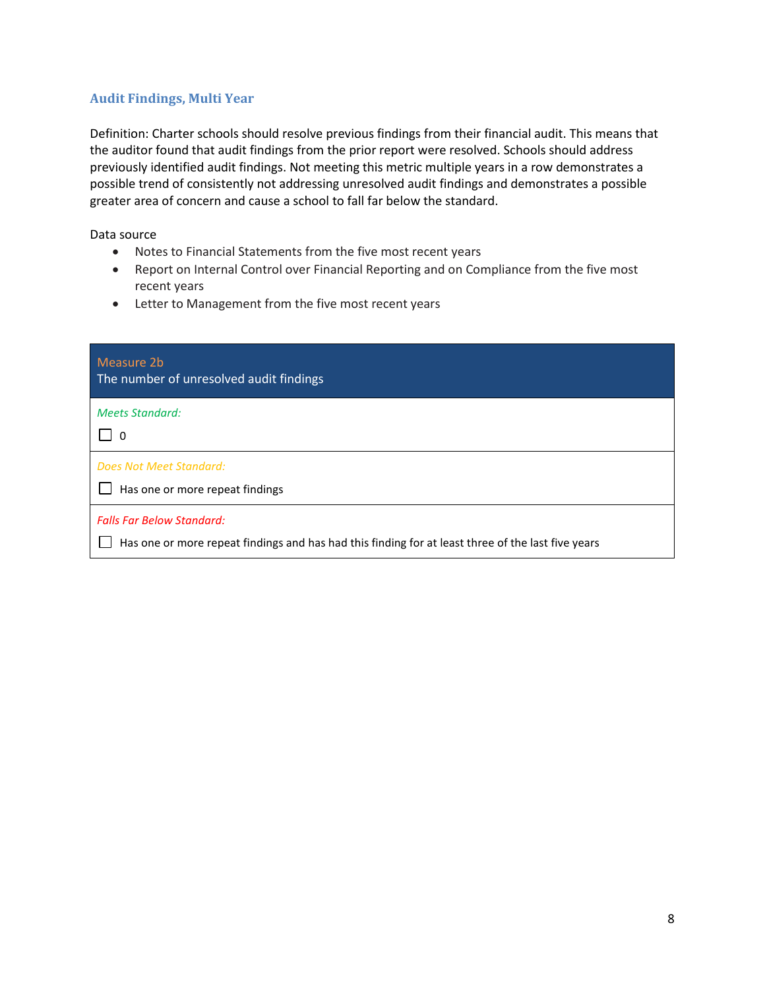#### **Audit Findings, Multi Year**

Definition: Charter schools should resolve previous findings from their financial audit. This means that the auditor found that audit findings from the prior report were resolved. Schools should address previously identified audit findings. Not meeting this metric multiple years in a row demonstrates a possible trend of consistently not addressing unresolved audit findings and demonstrates a possible greater area of concern and cause a school to fall far below the standard.

- Notes to Financial Statements from the five most recent years
- Report on Internal Control over Financial Reporting and on Compliance from the five most recent years
- Letter to Management from the five most recent years

| Measure 2b<br>The number of unresolved audit findings                                                                                  |
|----------------------------------------------------------------------------------------------------------------------------------------|
| <b>Meets Standard:</b><br>$\overline{0}$                                                                                               |
| Does Not Meet Standard:<br>Has one or more repeat findings                                                                             |
| <b>Falls Far Below Standard:</b><br>Has one or more repeat findings and has had this finding for at least three of the last five years |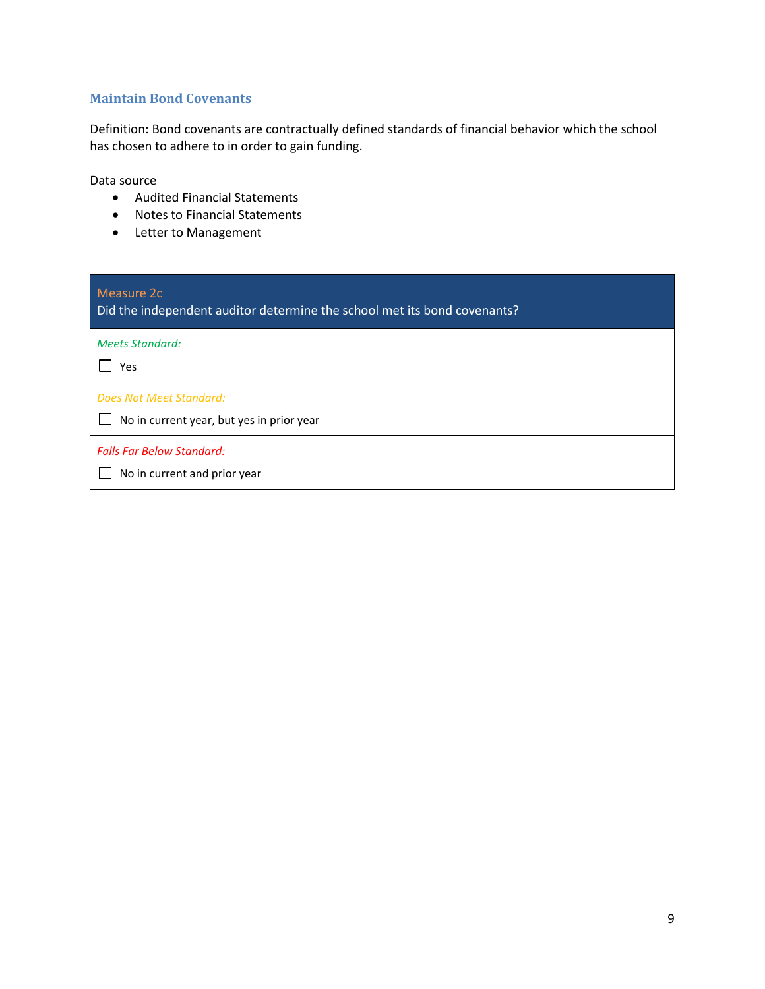#### **Maintain Bond Covenants**

Definition: Bond covenants are contractually defined standards of financial behavior which the school has chosen to adhere to in order to gain funding.

- Audited Financial Statements
- Notes to Financial Statements
- Letter to Management

| Measure 2c<br>Did the independent auditor determine the school met its bond covenants? |
|----------------------------------------------------------------------------------------|
| <b>Meets Standard:</b><br>Yes                                                          |
| Does Not Meet Standard:<br>No in current year, but yes in prior year                   |
| <b>Falls Far Below Standard:</b><br>No in current and prior year                       |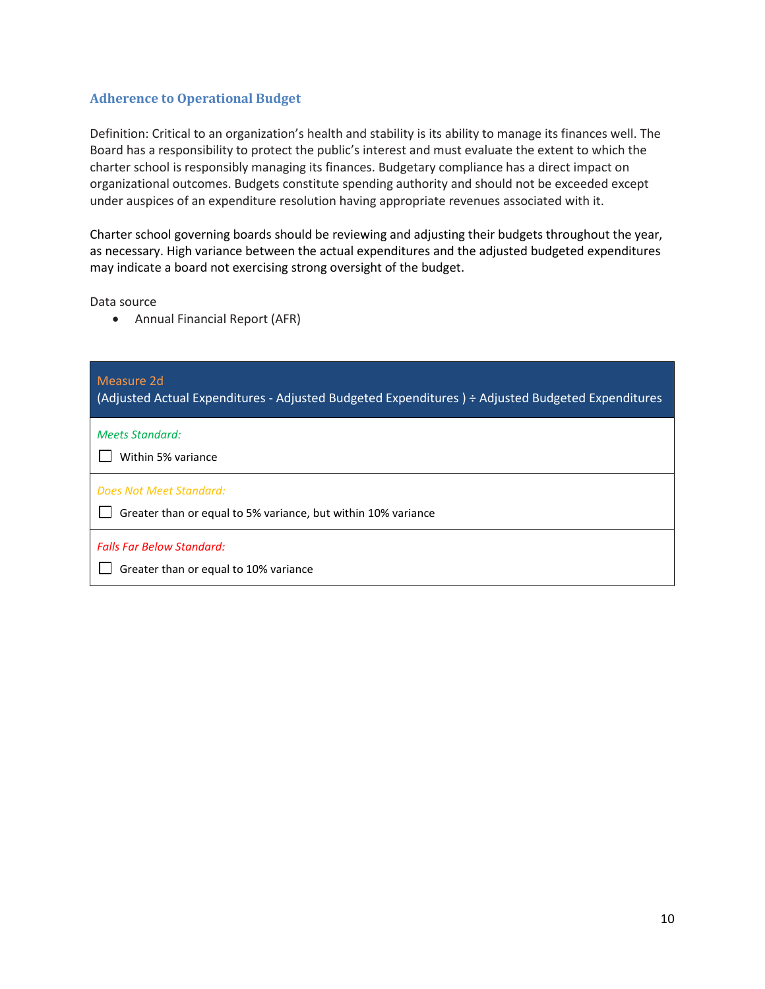#### **Adherence to Operational Budget**

Definition: Critical to an organization's health and stability is its ability to manage its finances well. The Board has a responsibility to protect the public's interest and must evaluate the extent to which the charter school is responsibly managing its finances. Budgetary compliance has a direct impact on organizational outcomes. Budgets constitute spending authority and should not be exceeded except under auspices of an expenditure resolution having appropriate revenues associated with it.

Charter school governing boards should be reviewing and adjusting their budgets throughout the year, as necessary. High variance between the actual expenditures and the adjusted budgeted expenditures may indicate a board not exercising strong oversight of the budget.

Data source

• Annual Financial Report (AFR)

| Measure 2d<br>(Adjusted Actual Expenditures - Adjusted Budgeted Expenditures) ÷ Adjusted Budgeted Expenditures |
|----------------------------------------------------------------------------------------------------------------|
| <b>Meets Standard:</b><br>Within 5% variance                                                                   |
| Does Not Meet Standard:<br>Greater than or equal to 5% variance, but within 10% variance                       |
| <b>Falls Far Below Standard:</b><br>Greater than or equal to 10% variance                                      |
|                                                                                                                |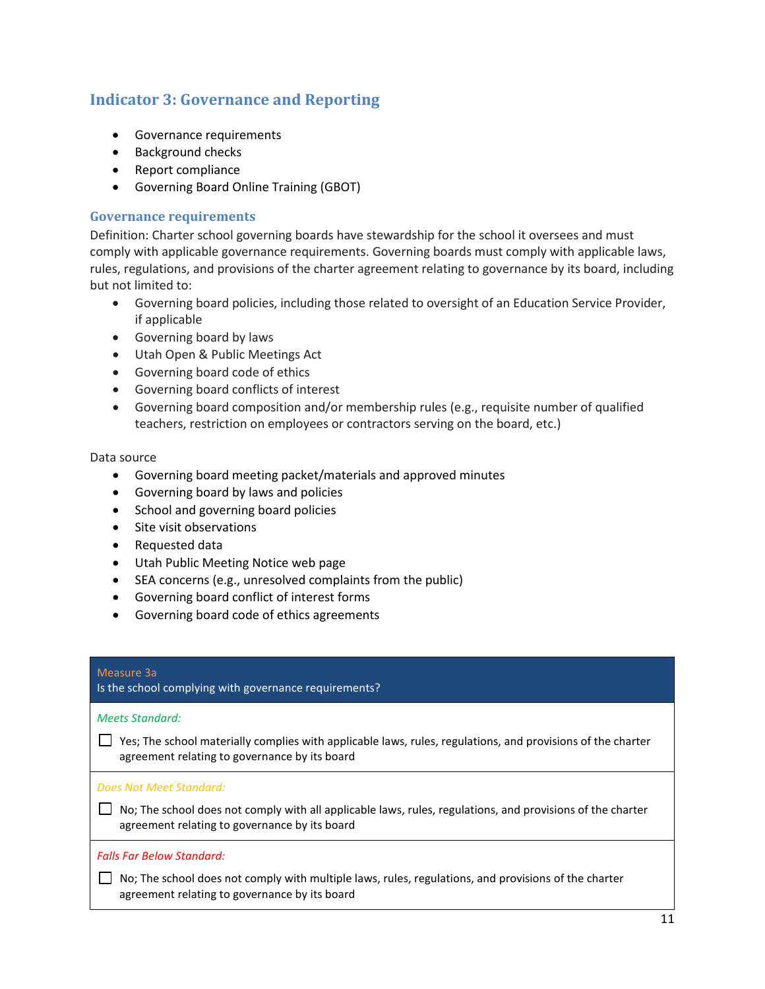# **Indicator 3: Governance and Reporting**

- Governance requirements
- Background checks
- Report compliance
- Governing Board Online Training (GBOT)

#### **Governance requirements**

Definition: Charter school governing boards have stewardship for the school it oversees and must comply with applicable governance requirements. Governing boards must comply with applicable laws, rules, regulations, and provisions of the charter agreement relating to governance by its board, including but not limited to:

- Governing board policies, including those related to oversight of an Education Service Provider, if applicable
- Governing board by laws
- Utah Open & Public Meetings Act
- Governing board code of ethics
- Governing board conflicts of interest
- Governing board composition and/or membership rules (e.g., requisite number of qualified teachers, restriction on employees or contractors serving on the board, etc.)

#### Data source

- Governing board meeting packet/materials and approved minutes
- Governing board by laws and policies
- School and governing board policies
- Site visit observations
- Requested data
- Utah Public Meeting Notice web page
- SEA concerns (e.g., unresolved complaints from the public)
- Governing board conflict of interest forms
- Governing board code of ethics agreements

#### Measure 3a

Is the school complying with governance requirements?

#### *Meets Standard:*

 $\Box$  Yes; The school materially complies with applicable laws, rules, regulations, and provisions of the charter agreement relating to governance by its board

*Does Not Meet Standard:*

 $\Box$  No; The school does not comply with all applicable laws, rules, regulations, and provisions of the charter agreement relating to governance by its board

#### *Falls Far Below Standard:*

 $\Box$  No; The school does not comply with multiple laws, rules, regulations, and provisions of the charter agreement relating to governance by its board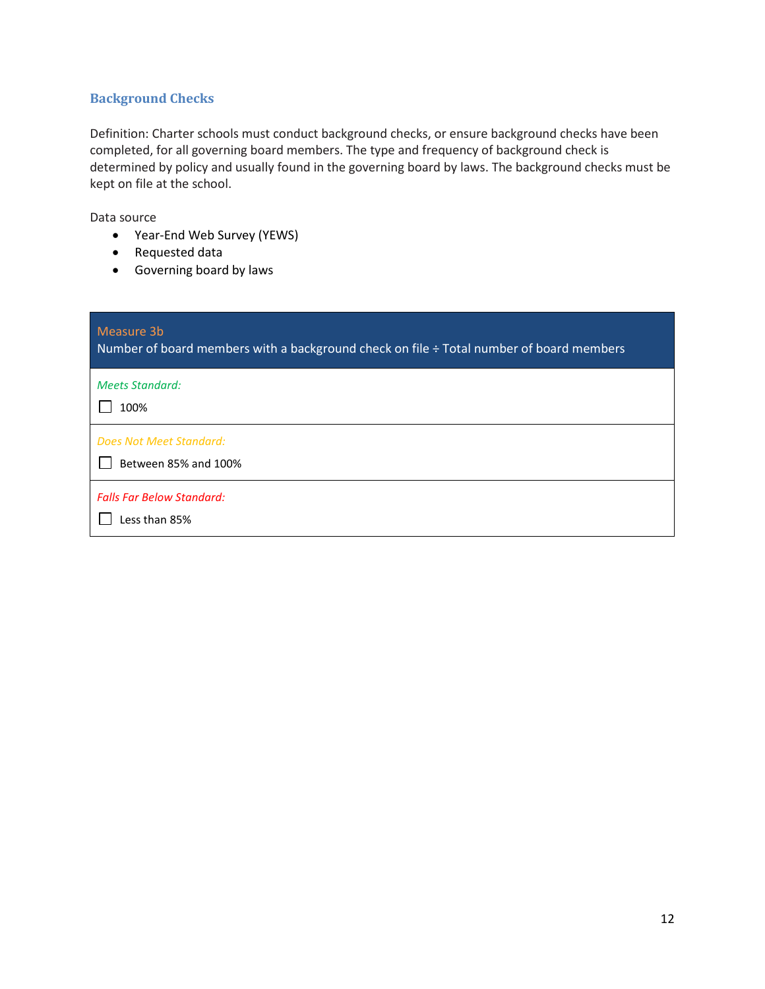#### **Background Checks**

Definition: Charter schools must conduct background checks, or ensure background checks have been completed, for all governing board members. The type and frequency of background check is determined by policy and usually found in the governing board by laws. The background checks must be kept on file at the school.

- Year-End Web Survey (YEWS)
- Requested data
- Governing board by laws

| Measure 3b<br>Number of board members with a background check on file ÷ Total number of board members |
|-------------------------------------------------------------------------------------------------------|
| <b>Meets Standard:</b><br>100%                                                                        |
| Does Not Meet Standard:<br>Between 85% and 100%                                                       |
| <b>Falls Far Below Standard:</b><br>Less than 85%                                                     |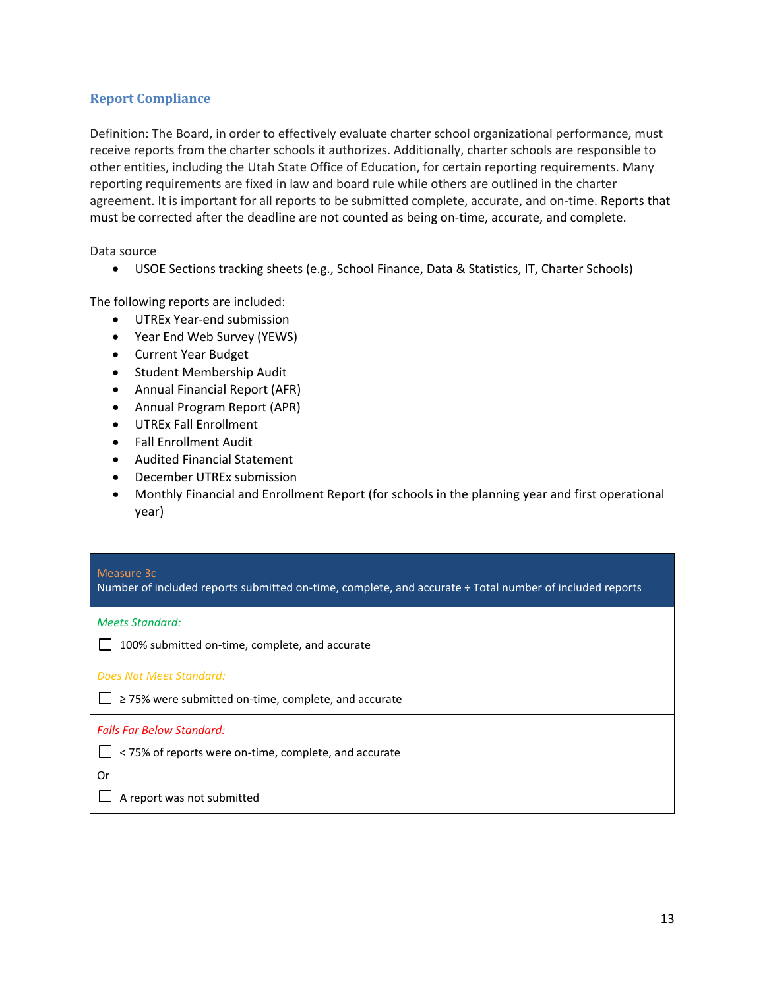#### **Report Compliance**

Definition: The Board, in order to effectively evaluate charter school organizational performance, must receive reports from the charter schools it authorizes. Additionally, charter schools are responsible to other entities, including the Utah State Office of Education, for certain reporting requirements. Many reporting requirements are fixed in law and board rule while others are outlined in the charter agreement. It is important for all reports to be submitted complete, accurate, and on-time. Reports that must be corrected after the deadline are not counted as being on-time, accurate, and complete.

Data source

• USOE Sections tracking sheets (e.g., School Finance, Data & Statistics, IT, Charter Schools)

The following reports are included:

- UTREx Year-end submission
- Year End Web Survey (YEWS)
- Current Year Budget
- Student Membership Audit
- Annual Financial Report (AFR)
- Annual Program Report (APR)
- UTREx Fall Enrollment
- Fall Enrollment Audit
- Audited Financial Statement
- December UTREx submission
- Monthly Financial and Enrollment Report (for schools in the planning year and first operational year)

| Measure 3c<br>Number of included reports submitted on-time, complete, and accurate ÷ Total number of included reports |
|-----------------------------------------------------------------------------------------------------------------------|
| <b>Meets Standard:</b>                                                                                                |
| 100% submitted on-time, complete, and accurate                                                                        |
| Does Not Meet Standard:                                                                                               |
| $\geq$ 75% were submitted on-time, complete, and accurate                                                             |
| <b>Falls Far Below Standard:</b>                                                                                      |
| < 75% of reports were on-time, complete, and accurate                                                                 |
| Or                                                                                                                    |
| A report was not submitted                                                                                            |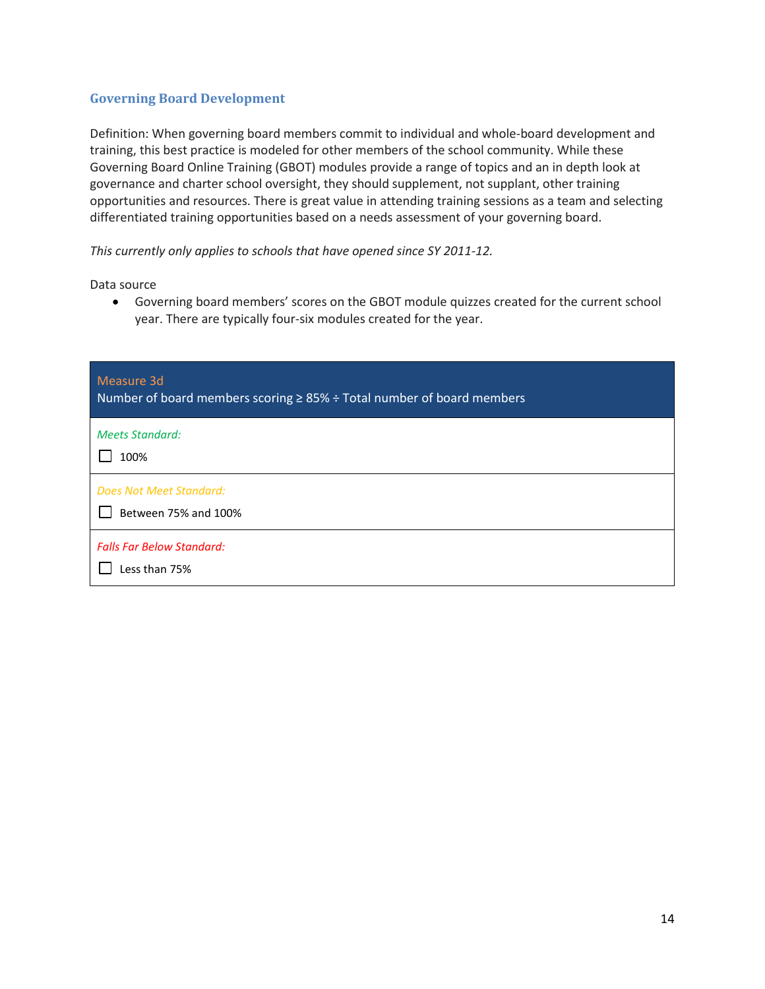#### **Governing Board Development**

Definition: When governing board members commit to individual and whole-board development and training, this best practice is modeled for other members of the school community. While these Governing Board Online Training (GBOT) modules provide a range of topics and an in depth look at governance and charter school oversight, they should supplement, not supplant, other training opportunities and resources. There is great value in attending training sessions as a team and selecting differentiated training opportunities based on a needs assessment of your governing board.

#### *This currently only applies to schools that have opened since SY 2011-12.*

Data source

• Governing board members' scores on the GBOT module quizzes created for the current school year. There are typically four-six modules created for the year.

| Measure 3d<br>Number of board members scoring $\geq$ 85% ÷ Total number of board members |
|------------------------------------------------------------------------------------------|
| <b>Meets Standard:</b><br>100%                                                           |
| Does Not Meet Standard:<br>Between 75% and 100%                                          |
| <b>Falls Far Below Standard:</b><br>Less than 75%                                        |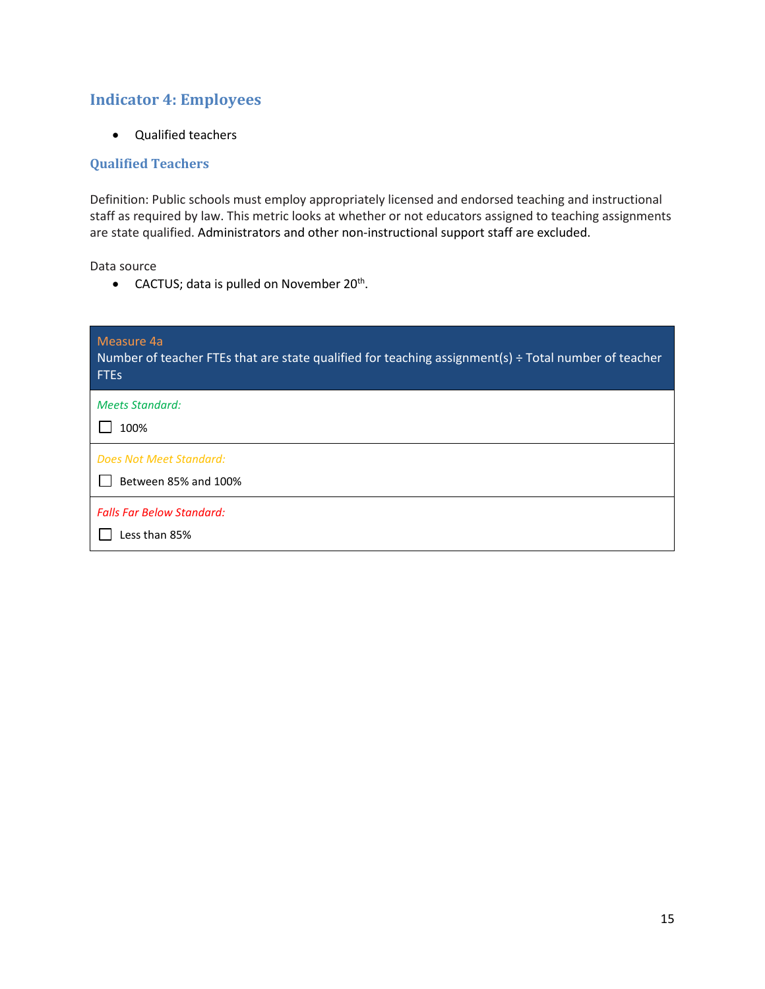# **Indicator 4: Employees**

• Qualified teachers

#### **Qualified Teachers**

Definition: Public schools must employ appropriately licensed and endorsed teaching and instructional staff as required by law. This metric looks at whether or not educators assigned to teaching assignments are state qualified. Administrators and other non-instructional support staff are excluded.

Data source

• CACTUS; data is pulled on November 20<sup>th</sup>.

| Measure 4a<br>Number of teacher FTEs that are state qualified for teaching assignment(s) $\div$ Total number of teacher<br><b>FTEs</b> |
|----------------------------------------------------------------------------------------------------------------------------------------|
| <b>Meets Standard:</b><br>100%                                                                                                         |
| Does Not Meet Standard:<br>Between 85% and 100%                                                                                        |
| <b>Falls Far Below Standard:</b><br>Less than 85%                                                                                      |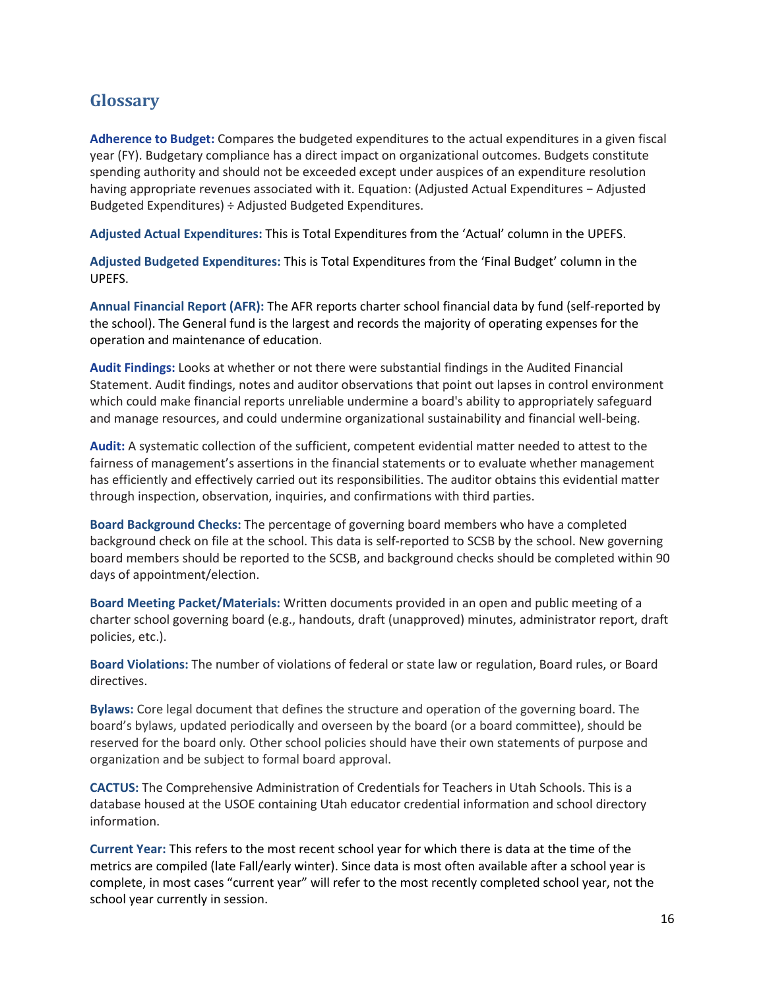# **Glossary**

**Adherence to Budget:** Compares the budgeted expenditures to the actual expenditures in a given fiscal year (FY). Budgetary compliance has a direct impact on organizational outcomes. Budgets constitute spending authority and should not be exceeded except under auspices of an expenditure resolution having appropriate revenues associated with it. Equation: (Adjusted Actual Expenditures − Adjusted Budgeted Expenditures) ÷ Adjusted Budgeted Expenditures.

**Adjusted Actual Expenditures:** This is Total Expenditures from the 'Actual' column in the UPEFS.

**Adjusted Budgeted Expenditures:** This is Total Expenditures from the 'Final Budget' column in the UPEFS.

**Annual Financial Report (AFR):** The AFR reports charter school financial data by fund (self-reported by the school). The General fund is the largest and records the majority of operating expenses for the operation and maintenance of education.

**Audit Findings:** Looks at whether or not there were substantial findings in the Audited Financial Statement. Audit findings, notes and auditor observations that point out lapses in control environment which could make financial reports unreliable undermine a board's ability to appropriately safeguard and manage resources, and could undermine organizational sustainability and financial well-being.

**Audit:** A systematic collection of the sufficient, competent evidential matter needed to attest to the fairness of management's assertions in the financial statements or to evaluate whether management has efficiently and effectively carried out its responsibilities. The auditor obtains this evidential matter through inspection, observation, inquiries, and confirmations with third parties.

**Board Background Checks:** The percentage of governing board members who have a completed background check on file at the school. This data is self-reported to SCSB by the school. New governing board members should be reported to the SCSB, and background checks should be completed within 90 days of appointment/election.

**Board Meeting Packet/Materials:** Written documents provided in an open and public meeting of a charter school governing board (e.g., handouts, draft (unapproved) minutes, administrator report, draft policies, etc.).

**Board Violations:** The number of violations of federal or state law or regulation, Board rules, or Board directives.

**Bylaws:** Core legal document that defines the structure and operation of the governing board. The board's bylaws, updated periodically and overseen by the board (or a board committee), should be reserved for the board only*.* Other school policies should have their own statements of purpose and organization and be subject to formal board approval.

**CACTUS:** The Comprehensive Administration of Credentials for Teachers in Utah Schools. This is a database housed at the USOE containing Utah educator credential information and school directory information.

**Current Year:** This refers to the most recent school year for which there is data at the time of the metrics are compiled (late Fall/early winter). Since data is most often available after a school year is complete, in most cases "current year" will refer to the most recently completed school year, not the school year currently in session.